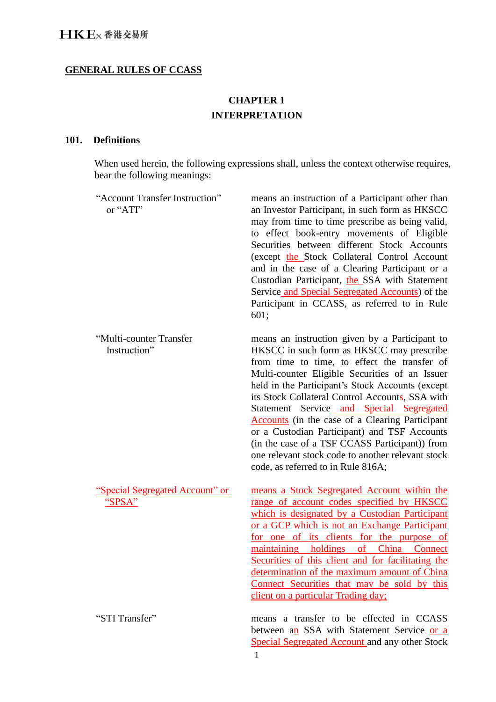# **GENERAL RULES OF CCASS**

# **CHAPTER 1 INTERPRETATION**

## **101. Definitions**

When used herein, the following expressions shall, unless the context otherwise requires, bear the following meanings:

| "Account Transfer Instruction"<br>or "ATI"       | means an instruction of a Participant other than<br>an Investor Participant, in such form as HKSCC<br>may from time to time prescribe as being valid,<br>to effect book-entry movements of Eligible<br>Securities between different Stock Accounts<br>(except the Stock Collateral Control Account<br>and in the case of a Clearing Participant or a<br>Custodian Participant, the SSA with Statement<br>Service and Special Segregated Accounts) of the<br>Participant in CCASS, as referred to in Rule<br>601;                                                                                        |
|--------------------------------------------------|---------------------------------------------------------------------------------------------------------------------------------------------------------------------------------------------------------------------------------------------------------------------------------------------------------------------------------------------------------------------------------------------------------------------------------------------------------------------------------------------------------------------------------------------------------------------------------------------------------|
| "Multi-counter Transfer<br>Instruction"          | means an instruction given by a Participant to<br>HKSCC in such form as HKSCC may prescribe<br>from time to time, to effect the transfer of<br>Multi-counter Eligible Securities of an Issuer<br>held in the Participant's Stock Accounts (except<br>its Stock Collateral Control Accounts, SSA with<br>Statement Service and Special Segregated<br><b>Accounts</b> (in the case of a Clearing Participant<br>or a Custodian Participant) and TSF Accounts<br>(in the case of a TSF CCASS Participant)) from<br>one relevant stock code to another relevant stock<br>code, as referred to in Rule 816A; |
| <u>"Special Segregated Account" or</u><br>"SPSA" | means a Stock Segregated Account within the<br>range of account codes specified by HKSCC<br>which is designated by a Custodian Participant<br>or a GCP which is not an Exchange Participant<br>for one of its clients for the purpose of<br>maintaining holdings of China Connect<br>Securities of this client and for facilitating the<br>determination of the maximum amount of China<br>Connect Securities that may be sold by this<br>client on a particular Trading day;                                                                                                                           |
| "STI Transfer"                                   | means a transfer to be effected in CCASS<br>between an SSA with Statement Service or a<br><b>Special Segregated Account and any other Stock</b>                                                                                                                                                                                                                                                                                                                                                                                                                                                         |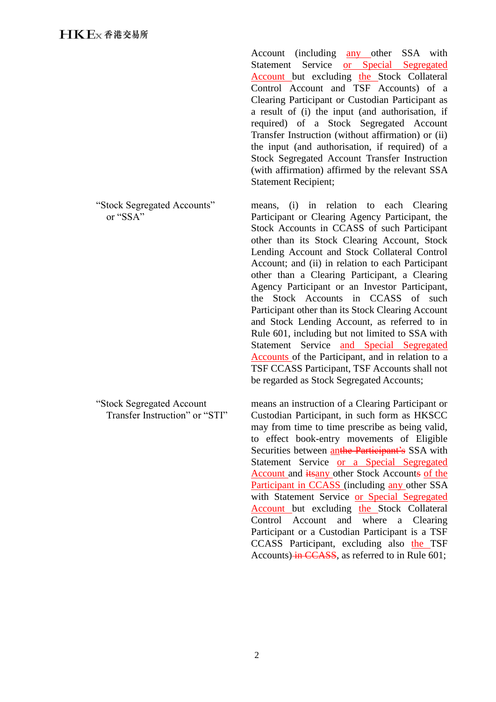"Stock Segregated Accounts" or "SSA"

"Stock Segregated Account Transfer Instruction" or "STI"

Account (including any other SSA with Statement Service or Special Segregated Account but excluding the Stock Collateral Control Account and TSF Accounts) of a Clearing Participant or Custodian Participant as a result of (i) the input (and authorisation, if required) of a Stock Segregated Account Transfer Instruction (without affirmation) or (ii) the input (and authorisation, if required) of a Stock Segregated Account Transfer Instruction (with affirmation) affirmed by the relevant SSA Statement Recipient;

means, (i) in relation to each Clearing Participant or Clearing Agency Participant, the Stock Accounts in CCASS of such Participant other than its Stock Clearing Account, Stock Lending Account and Stock Collateral Control Account; and (ii) in relation to each Participant other than a Clearing Participant, a Clearing Agency Participant or an Investor Participant, the Stock Accounts in CCASS of such Participant other than its Stock Clearing Account and Stock Lending Account, as referred to in Rule 601, including but not limited to SSA with Statement Service and Special Segregated Accounts of the Participant, and in relation to a TSF CCASS Participant, TSF Accounts shall not be regarded as Stock Segregated Accounts;

means an instruction of a Clearing Participant or Custodian Participant, in such form as HKSCC may from time to time prescribe as being valid, to effect book-entry movements of Eligible Securities between **anthe Participant's** SSA with Statement Service or a Special Segregated Account and itsany other Stock Accounts of the Participant in CCASS (including any other SSA with Statement Service or Special Segregated Account but excluding the Stock Collateral Control Account and where a Clearing Participant or a Custodian Participant is a TSF CCASS Participant, excluding also the TSF Accounts) in CCASS, as referred to in Rule 601;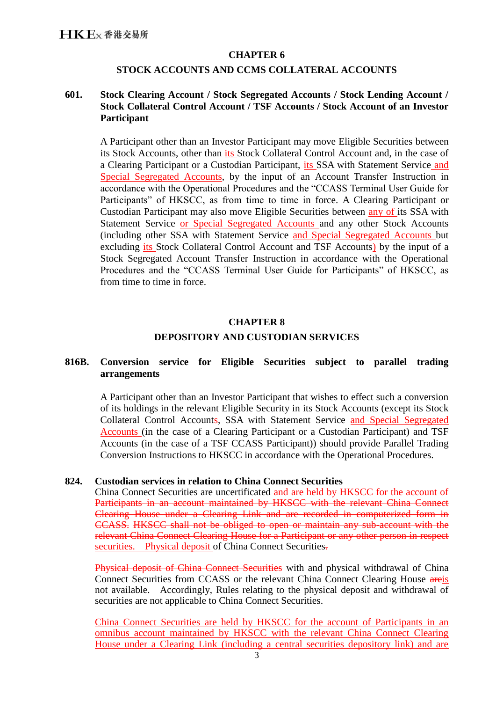## **CHAPTER 6**

## **STOCK ACCOUNTS AND CCMS COLLATERAL ACCOUNTS**

# **601. Stock Clearing Account / Stock Segregated Accounts / Stock Lending Account / Stock Collateral Control Account / TSF Accounts / Stock Account of an Investor Participant**

A Participant other than an Investor Participant may move Eligible Securities between its Stock Accounts, other than its Stock Collateral Control Account and, in the case of a Clearing Participant or a Custodian Participant, its SSA with Statement Service and Special Segregated Accounts, by the input of an Account Transfer Instruction in accordance with the Operational Procedures and the "CCASS Terminal User Guide for Participants" of HKSCC, as from time to time in force. A Clearing Participant or Custodian Participant may also move Eligible Securities between any of its SSA with Statement Service or Special Segregated Accounts and any other Stock Accounts (including other SSA with Statement Service and Special Segregated Accounts but excluding its Stock Collateral Control Account and TSF Accounts) by the input of a Stock Segregated Account Transfer Instruction in accordance with the Operational Procedures and the "CCASS Terminal User Guide for Participants" of HKSCC, as from time to time in force.

#### **CHAPTER 8**

# **DEPOSITORY AND CUSTODIAN SERVICES**

# **816B. Conversion service for Eligible Securities subject to parallel trading arrangements**

A Participant other than an Investor Participant that wishes to effect such a conversion of its holdings in the relevant Eligible Security in its Stock Accounts (except its Stock Collateral Control Accounts, SSA with Statement Service and Special Segregated Accounts (in the case of a Clearing Participant or a Custodian Participant) and TSF Accounts (in the case of a TSF CCASS Participant)) should provide Parallel Trading Conversion Instructions to HKSCC in accordance with the Operational Procedures.

# **824. Custodian services in relation to China Connect Securities**

China Connect Securities are uncertificated and are held by HKSCC for the account of Participants in an account maintained by HKSCC with the relevant China Connect Clearing House under a Clearing Link and are recorded in computerized form in CCASS. HKSCC shall not be obliged to open or maintain any sub-account with the relevant China Connect Clearing House for a Participant or any other person in respect securities. Physical deposit of China Connect Securities.

Physical deposit of China Connect Securities with and physical withdrawal of China Connect Securities from CCASS or the relevant China Connect Clearing House areis not available. Accordingly, Rules relating to the physical deposit and withdrawal of securities are not applicable to China Connect Securities.

China Connect Securities are held by HKSCC for the account of Participants in an omnibus account maintained by HKSCC with the relevant China Connect Clearing House under a Clearing Link (including a central securities depository link) and are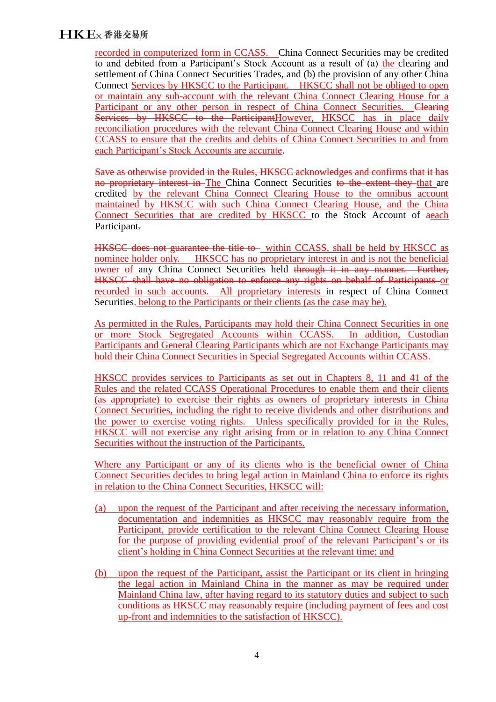# **HKE**x 香港交易所

recorded in computerized form in CCASS. China Connect Securities may be credited to and debited from a Participant's Stock Account as a result of (a) the clearing and settlement of China Connect Securities Trades, and (b) the provision of any other China Connect Services by HKSCC to the Participant. HKSCC shall not be obliged to open or maintain any sub-account with the relevant China Connect Clearing House for a Participant or any other person in respect of China Connect Securities. Clearing Services by HKSCC to the ParticipantHowever, HKSCC has in place daily reconciliation procedures with the relevant China Connect Clearing House and within CCASS to ensure that the credits and debits of China Connect Securities to and from each Participant's Stock Accounts are accurate.

Save as otherwise provided in the Rules, HKSCC acknowledges and confirms that it has no proprietary interest in The China Connect Securities to the extent they that are credited by the relevant China Connect Clearing House to the omnibus account maintained by HKSCC with such China Connect Clearing House, and the China Connect Securities that are credited by HKSCC to the Stock Account of aeach Participant.

**HKSCC** does not guarantee the title to within CCASS, shall be held by HKSCC as nominee holder only. HKSCC has no proprietary interest in and is not the beneficial owner of any China Connect Securities held through it in any manner. Further-HKSCC shall have no obligation to enforce any rights on behalf of Participants or recorded in such accounts. All proprietary interests in respect of China Connect Securities. belong to the Participants or their clients (as the case may be).

As permitted in the Rules, Participants may hold their China Connect Securities in one or more Stock Segregated Accounts within CCASS. In addition, Custodian Participants and General Clearing Participants which are not Exchange Participants may hold their China Connect Securities in Special Segregated Accounts within CCASS.

HKSCC provides services to Participants as set out in Chapters 8, 11 and 41 of the Rules and the related CCASS Operational Procedures to enable them and their clients (as appropriate) to exercise their rights as owners of proprietary interests in China Connect Securities, including the right to receive dividends and other distributions and the power to exercise voting rights. Unless specifically provided for in the Rules, HKSCC will not exercise any right arising from or in relation to any China Connect Securities without the instruction of the Participants.

Where any Participant or any of its clients who is the beneficial owner of China Connect Securities decides to bring legal action in Mainland China to enforce its rights in relation to the China Connect Securities, HKSCC will:

- (a) upon the request of the Participant and after receiving the necessary information, documentation and indemnities as HKSCC may reasonably require from the Participant, provide certification to the relevant China Connect Clearing House for the purpose of providing evidential proof of the relevant Participant's or its client's holding in China Connect Securities at the relevant time; and
- (b) upon the request of the Participant, assist the Participant or its client in bringing the legal action in Mainland China in the manner as may be required under Mainland China law, after having regard to its statutory duties and subject to such conditions as HKSCC may reasonably require (including payment of fees and cost up-front and indemnities to the satisfaction of HKSCC).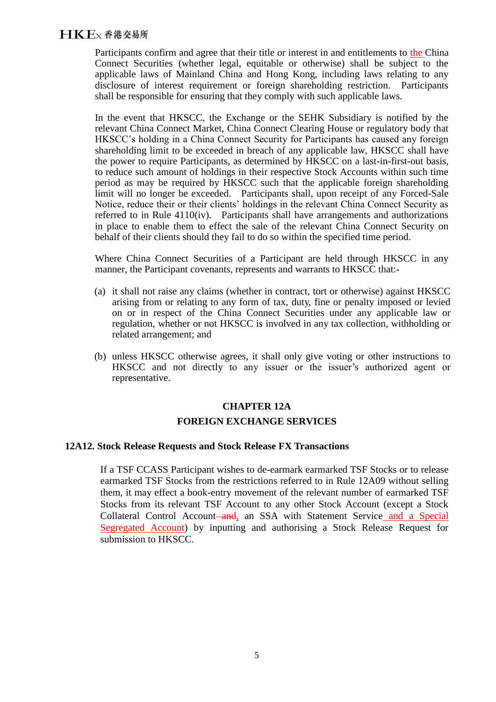# **HKE**x 香港交易所

Participants confirm and agree that their title or interest in and entitlements to the China Connect Securities (whether legal, equitable or otherwise) shall be subject to the applicable laws of Mainland China and Hong Kong, including laws relating to any disclosure of interest requirement or foreign shareholding restriction. Participants shall be responsible for ensuring that they comply with such applicable laws.

In the event that HKSCC, the Exchange or the SEHK Subsidiary is notified by the relevant China Connect Market, China Connect Clearing House or regulatory body that HKSCC's holding in a China Connect Security for Participants has caused any foreign shareholding limit to be exceeded in breach of any applicable law, HKSCC shall have the power to require Participants, as determined by HKSCC on a last-in-first-out basis, to reduce such amount of holdings in their respective Stock Accounts within such time period as may be required by HKSCC such that the applicable foreign shareholding limit will no longer be exceeded. Participants shall, upon receipt of any Forced-Sale Notice, reduce their or their clients' holdings in the relevant China Connect Security as referred to in Rule 4110(iv). Participants shall have arrangements and authorizations in place to enable them to effect the sale of the relevant China Connect Security on behalf of their clients should they fail to do so within the specified time period.

Where China Connect Securities of a Participant are held through HKSCC in any manner, the Participant covenants, represents and warrants to HKSCC that:-

- (a) it shall not raise any claims (whether in contract, tort or otherwise) against HKSCC arising from or relating to any form of tax, duty, fine or penalty imposed or levied on or in respect of the China Connect Securities under any applicable law or regulation, whether or not HKSCC is involved in any tax collection, withholding or related arrangement; and
- (b) unless HKSCC otherwise agrees, it shall only give voting or other instructions to HKSCC and not directly to any issuer or the issuer's authorized agent or representative.

#### **CHAPTER 12A**

#### **FOREIGN EXCHANGE SERVICES**

#### **12A12. Stock Release Requests and Stock Release FX Transactions**

If a TSF CCASS Participant wishes to de-earmark earmarked TSF Stocks or to release earmarked TSF Stocks from the restrictions referred to in Rule 12A09 without selling them, it may effect a book-entry movement of the relevant number of earmarked TSF Stocks from its relevant TSF Account to any other Stock Account (except a Stock Collateral Control Account–and, an SSA with Statement Service and a Special Segregated Account) by inputting and authorising a Stock Release Request for submission to HKSCC.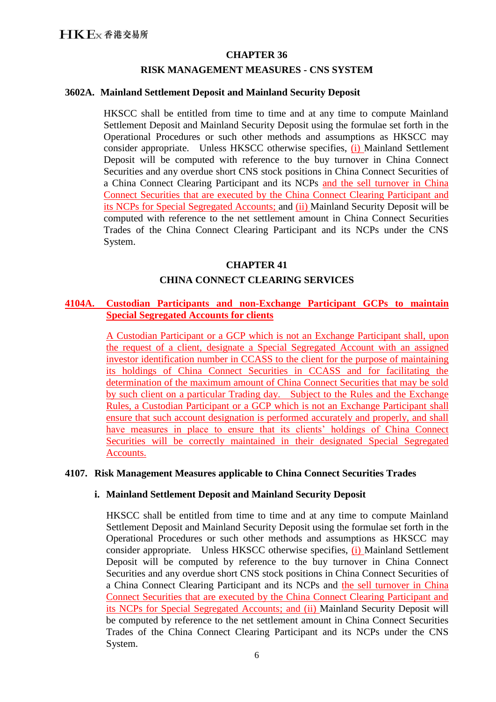# **CHAPTER 36**

#### **RISK MANAGEMENT MEASURES - CNS SYSTEM**

## **3602A. Mainland Settlement Deposit and Mainland Security Deposit**

HKSCC shall be entitled from time to time and at any time to compute Mainland Settlement Deposit and Mainland Security Deposit using the formulae set forth in the Operational Procedures or such other methods and assumptions as HKSCC may consider appropriate. Unless HKSCC otherwise specifies, (i) Mainland Settlement Deposit will be computed with reference to the buy turnover in China Connect Securities and any overdue short CNS stock positions in China Connect Securities of a China Connect Clearing Participant and its NCPs and the sell turnover in China Connect Securities that are executed by the China Connect Clearing Participant and its NCPs for Special Segregated Accounts; and (ii) Mainland Security Deposit will be computed with reference to the net settlement amount in China Connect Securities Trades of the China Connect Clearing Participant and its NCPs under the CNS System.

# **CHAPTER 41**

# **CHINA CONNECT CLEARING SERVICES**

## **4104A. Custodian Participants and non-Exchange Participant GCPs to maintain Special Segregated Accounts for clients**

A Custodian Participant or a GCP which is not an Exchange Participant shall, upon the request of a client, designate a Special Segregated Account with an assigned investor identification number in CCASS to the client for the purpose of maintaining its holdings of China Connect Securities in CCASS and for facilitating the determination of the maximum amount of China Connect Securities that may be sold by such client on a particular Trading day. Subject to the Rules and the Exchange Rules, a Custodian Participant or a GCP which is not an Exchange Participant shall ensure that such account designation is performed accurately and properly, and shall have measures in place to ensure that its clients' holdings of China Connect Securities will be correctly maintained in their designated Special Segregated Accounts.

#### **4107. Risk Management Measures applicable to China Connect Securities Trades**

#### **i. Mainland Settlement Deposit and Mainland Security Deposit**

HKSCC shall be entitled from time to time and at any time to compute Mainland Settlement Deposit and Mainland Security Deposit using the formulae set forth in the Operational Procedures or such other methods and assumptions as HKSCC may consider appropriate. Unless HKSCC otherwise specifies, (i) Mainland Settlement Deposit will be computed by reference to the buy turnover in China Connect Securities and any overdue short CNS stock positions in China Connect Securities of a China Connect Clearing Participant and its NCPs and the sell turnover in China Connect Securities that are executed by the China Connect Clearing Participant and its NCPs for Special Segregated Accounts; and (ii) Mainland Security Deposit will be computed by reference to the net settlement amount in China Connect Securities Trades of the China Connect Clearing Participant and its NCPs under the CNS System.